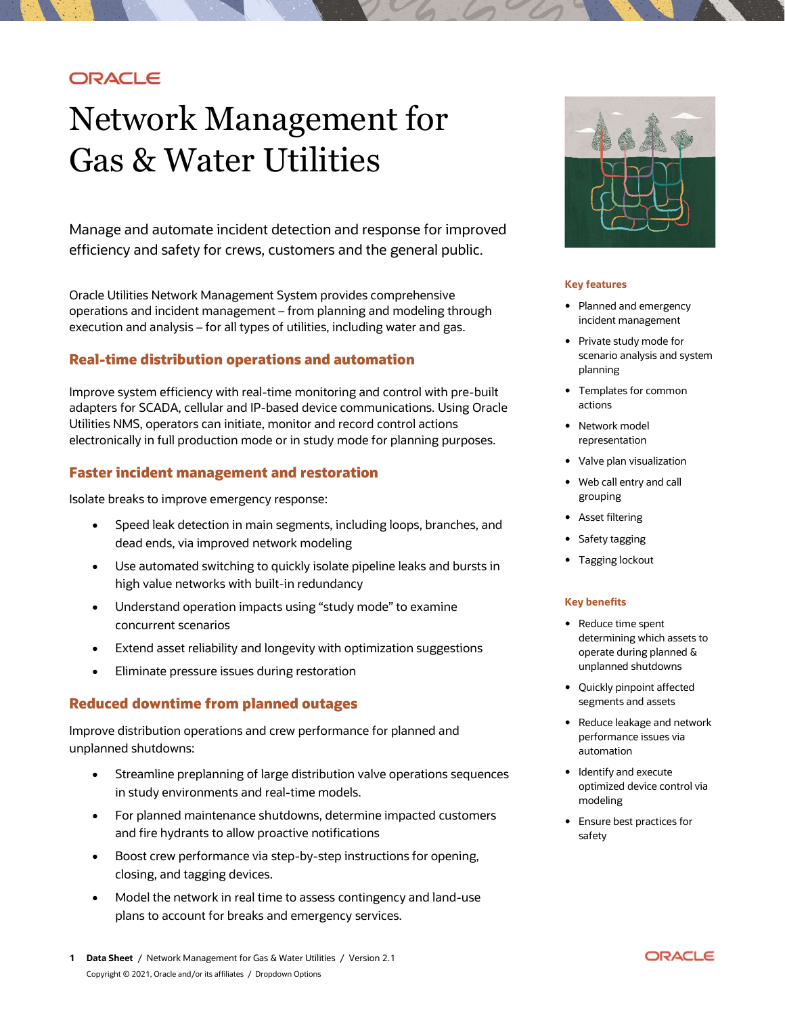# ORACLE

# Network Management for Gas & Water Utilities

 Manage and automate incident detection and response for improved efficiency and safety for crews, customers and the general public.

 Oracle Utilities Network Management System provides comprehensive operations and incident management – from planning and modeling through execution and analysis – for all types of utilities, including water and gas.

## Real-time distribution operations and automation

 Improve system efficiency with real-time monitoring and control with pre-built adapters for SCADA, cellular and IP-based device communications. Using Oracle Utilities NMS, operators can initiate, monitor and record control actions electronically in full production mode or in study mode for planning purposes.

## Faster incident management and restoration

Isolate breaks to improve emergency response:

- Speed leak detection in main segments, including loops, branches, and dead ends, via improved network modeling
- Use automated switching to quickly isolate pipeline leaks and bursts in high value networks with built-in redundancy
- Understand operation impacts using "study mode" to examine concurrent scenarios
- Extend asset reliability and longevity with optimization suggestions
- Eliminate pressure issues during restoration

## Reduced downtime from planned outages

 Improve distribution operations and crew performance for planned and unplanned shutdowns:

- Streamline preplanning of large distribution valve operations sequences in study environments and real-time models.
- For planned maintenance shutdowns, determine impacted customers and fire hydrants to allow proactive notifications
- Boost crew performance via step-by-step instructions for opening, closing, and tagging devices.
- Model the network in real time to assess contingency and land-use plans to account for breaks and emergency services.



#### Key features

- Planned and emergency incident management
- Private study mode for scenario analysis and system planning
- Templates for common actions
- Network model representation
- Valve plan visualization
- Web call entry and call grouping
- Asset filtering
- Safety tagging
- Tagging lockout

#### Key benefits

- Reduce time spent determining which assets to operate during planned & unplanned shutdowns
- Quickly pinpoint affected segments and assets
- Reduce leakage and network performance issues via automation
- Identify and execute optimized device control via modeling
- Ensure best practices for safety